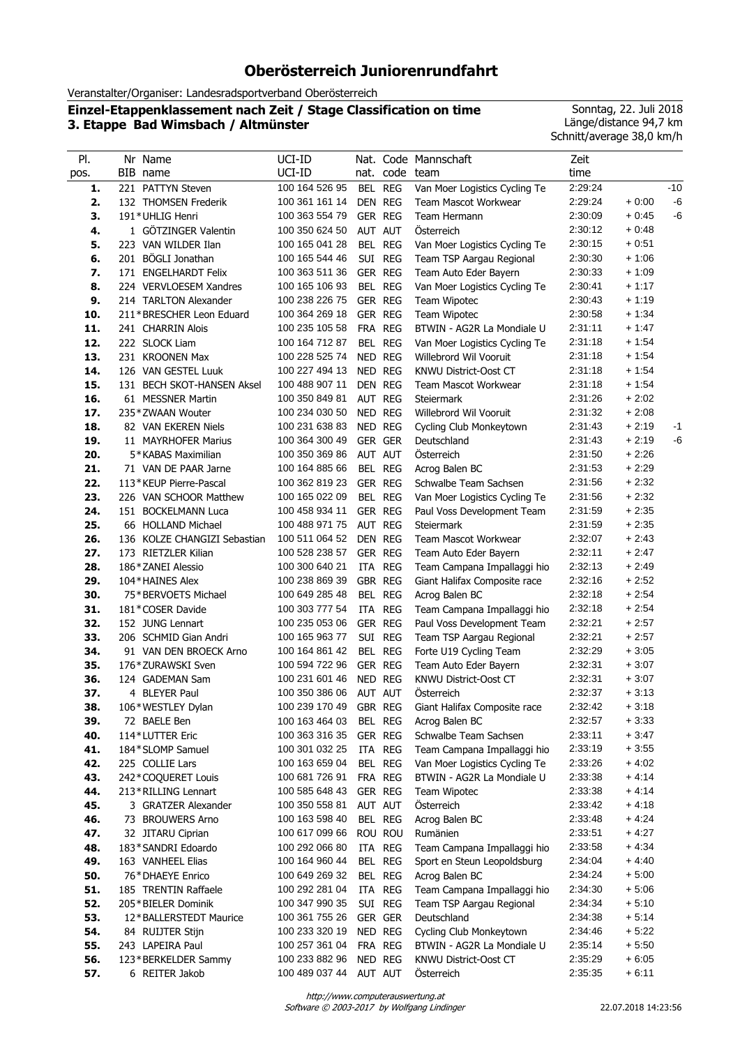# **Oberösterreich Juniorenrundfahrt**

Veranstalter/Organiser: Landesradsportverband Oberösterreich

## **Einzel-Etappenklassement nach Zeit / Stage Classification on time 3. Etappe Bad Wimsbach / Altmünster**

Sonntag, 22. Juli 2018 Länge/distance 94,7 km Schnitt/average 38,0 km/h

| PI.        | Nr Name                              | UCI-ID                           |                |                | Nat. Code Mannschaft                            | Zeit               |                   |       |
|------------|--------------------------------------|----------------------------------|----------------|----------------|-------------------------------------------------|--------------------|-------------------|-------|
| pos.       | BIB name                             | UCI-ID                           |                | nat. code team |                                                 | time               |                   |       |
| 1.         | 221 PATTYN Steven                    | 100 164 526 95                   |                | BEL REG        | Van Moer Logistics Cycling Te                   | 2:29:24            |                   | $-10$ |
| 2.         | 132 THOMSEN Frederik                 | 100 361 161 14                   | DEN REG        |                | Team Mascot Workwear                            | 2:29:24            | $+0:00$           | $-6$  |
| 3.         | 191*UHLIG Henri                      | 100 363 554 79                   | GER REG        |                | Team Hermann                                    | 2:30:09            | $+0.45$           | -6    |
| 4.         | 1 GÖTZINGER Valentin                 | 100 350 624 50                   | AUT AUT        |                | Österreich                                      | 2:30:12            | $+0.48$           |       |
| 5.         | 223 VAN WILDER Ilan                  | 100 165 041 28                   |                | BEL REG        | Van Moer Logistics Cycling Te                   | 2:30:15            | $+0.51$           |       |
| 6.         | 201 BÖGLI Jonathan                   | 100 165 544 46                   |                | SUI REG        | Team TSP Aargau Regional                        | 2:30:30            | $+1:06$           |       |
| 7.         | 171 ENGELHARDT Felix                 | 100 363 511 36                   | GER REG        |                | Team Auto Eder Bayern                           | 2:30:33            | $+1:09$           |       |
| 8.         | 224 VERVLOESEM Xandres               | 100 165 106 93                   |                | BEL REG        | Van Moer Logistics Cycling Te                   | 2:30:41            | $+1:17$           |       |
| 9.         | 214 TARLTON Alexander                | 100 238 226 75                   | GER REG        |                | Team Wipotec                                    | 2:30:43            | $+1:19$           |       |
| 10.        | 211*BRESCHER Leon Eduard             | 100 364 269 18                   | GER REG        |                | Team Wipotec                                    | 2:30:58            | $+1:34$           |       |
| 11.        | 241 CHARRIN Alois                    | 100 235 105 58                   | FRA REG        |                | BTWIN - AG2R La Mondiale U                      | 2:31:11            | $+1:47$           |       |
| 12.        | 222 SLOCK Liam                       | 100 164 712 87                   |                | BEL REG        | Van Moer Logistics Cycling Te                   | 2:31:18            | $+1:54$           |       |
| 13.        | 231 KROONEN Max                      | 100 228 525 74                   | NED REG        |                | Willebrord Wil Vooruit                          | 2:31:18            | $+1:54$           |       |
| 14.        | 126 VAN GESTEL Luuk                  | 100 227 494 13                   | NED REG        |                | KNWU District-Oost CT                           | 2:31:18            | $+1:54$           |       |
| 15.        | 131 BECH SKOT-HANSEN Aksel           | 100 488 907 11                   | <b>DEN REG</b> |                | Team Mascot Workwear                            | 2:31:18            | $+1:54$           |       |
| 16.        | 61 MESSNER Martin                    | 100 350 849 81                   | AUT REG        |                | <b>Steiermark</b>                               | 2:31:26            | $+2:02$           |       |
| 17.        | 235*ZWAAN Wouter                     | 100 234 030 50                   | NED REG        |                | Willebrord Wil Vooruit                          | 2:31:32            | $+2:08$           |       |
| 18.        | 82 VAN EKEREN Niels                  | 100 231 638 83                   | NED REG        |                | Cycling Club Monkeytown                         | 2:31:43            | $+2:19$           | $-1$  |
| 19.        | 11 MAYRHOFER Marius                  | 100 364 300 49                   | <b>GER GER</b> |                | Deutschland                                     | 2:31:43            | $+2:19$           | -6    |
| 20.        | 5*KABAS Maximilian                   | 100 350 369 86                   | AUT AUT        |                | Österreich                                      | 2:31:50            | $+2:26$           |       |
| 21.        | 71 VAN DE PAAR Jarne                 | 100 164 885 66                   |                | BEL REG        | Acrog Balen BC                                  | 2:31:53            | $+2:29$           |       |
| 22.        | 113*KEUP Pierre-Pascal               | 100 362 819 23                   | GER REG        |                | Schwalbe Team Sachsen                           | 2:31:56            | $+2:32$           |       |
| 23.        | 226 VAN SCHOOR Matthew               | 100 165 022 09                   |                | BEL REG        | Van Moer Logistics Cycling Te                   | 2:31:56            | $+2:32$           |       |
| 24.        | 151 BOCKELMANN Luca                  | 100 458 934 11                   | GER REG        |                | Paul Voss Development Team                      | 2:31:59            | $+2:35$           |       |
| 25.        | 66 HOLLAND Michael                   | 100 488 971 75                   | AUT REG        |                | <b>Steiermark</b>                               | 2:31:59            | $+2:35$           |       |
| 26.        | 136 KOLZE CHANGIZI Sebastian         | 100 511 064 52                   | DEN REG        |                | Team Mascot Workwear                            | 2:32:07            | $+2:43$           |       |
| 27.        | 173 RIETZLER Kilian                  | 100 528 238 57                   | GER REG        |                | Team Auto Eder Bayern                           | 2:32:11            | $+2:47$           |       |
| 28.        | 186*ZANEI Alessio                    | 100 300 640 21                   |                | ITA REG        | Team Campana Impallaggi hio                     | 2:32:13            | $+2:49$           |       |
| 29.        | 104*HAINES Alex                      | 100 238 869 39                   | GBR REG        |                | Giant Halifax Composite race                    | 2:32:16            | $+2:52$           |       |
| 30.        | 75*BERVOETS Michael                  | 100 649 285 48                   |                | BEL REG        | Acrog Balen BC                                  | 2:32:18            | $+2:54$           |       |
| 31.        | 181*COSER Davide                     | 100 303 777 54                   | ITA            | <b>REG</b>     | Team Campana Impallaggi hio                     | 2:32:18            | $+2:54$           |       |
| 32.        | 152 JUNG Lennart                     | 100 235 053 06                   | GER REG        |                | Paul Voss Development Team                      | 2:32:21            | $+2:57$           |       |
| 33.        | 206 SCHMID Gian Andri                | 100 165 963 77<br>100 164 861 42 |                | SUI REG        | Team TSP Aargau Regional                        | 2:32:21            | $+2:57$           |       |
| 34.<br>35. | 91 VAN DEN BROECK Arno               | 100 594 722 96                   | GER REG        | BEL REG        | Forte U19 Cycling Team<br>Team Auto Eder Bayern | 2:32:29<br>2:32:31 | + 3:05<br>$+3:07$ |       |
| 36.        | 176*ZURAWSKI Sven<br>124 GADEMAN Sam | 100 231 601 46                   | NED REG        |                | KNWU District-Oost CT                           | 2:32:31            | + 3:07            |       |
| 37.        | 4 BLEYER Paul                        | 100 350 386 06                   | AUT AUT        |                | Osterreich                                      | 2:32:37            | $+3:13$           |       |
| 38.        | 106*WESTLEY Dylan                    | 100 239 170 49 GBR REG           |                |                | Giant Halifax Composite race                    | 2:32:42            | $+3:18$           |       |
| 39.        | 72 BAELE Ben                         | 100 163 464 03                   |                | BEL REG        | Acrog Balen BC                                  | 2:32:57            | $+3:33$           |       |
| 40.        | 114*LUTTER Eric                      | 100 363 316 35                   |                | GER REG        | Schwalbe Team Sachsen                           | 2:33:11            | $+3:47$           |       |
| 41.        | 184*SLOMP Samuel                     | 100 301 032 25                   |                | ITA REG        | Team Campana Impallaggi hio                     | 2:33:19            | $+3.55$           |       |
| 42.        | 225 COLLIE Lars                      | 100 163 659 04                   |                | BEL REG        | Van Moer Logistics Cycling Te                   | 2:33:26            | + 4:02            |       |
| 43.        | 242*COQUERET Louis                   | 100 681 726 91                   |                | FRA REG        | BTWIN - AG2R La Mondiale U                      | 2:33:38            | $+4:14$           |       |
| 44.        | 213*RILLING Lennart                  | 100 585 648 43                   | GER REG        |                | Team Wipotec                                    | 2:33:38            | $+4:14$           |       |
| 45.        | 3 GRATZER Alexander                  | 100 350 558 81                   | AUT AUT        |                | Österreich                                      | 2:33:42            | $+4:18$           |       |
| 46.        | 73 BROUWERS Arno                     | 100 163 598 40                   |                | BEL REG        | Acrog Balen BC                                  | 2:33:48            | + 4:24            |       |
| 47.        | 32 JITARU Ciprian                    | 100 617 099 66                   |                | ROU ROU        | Rumänien                                        | 2:33:51            | $+4:27$           |       |
| 48.        | 183*SANDRI Edoardo                   | 100 292 066 80                   |                | ITA REG        | Team Campana Impallaggi hio                     | 2:33:58            | $+4:34$           |       |
| 49.        | 163 VANHEEL Elias                    | 100 164 960 44                   |                | BEL REG        | Sport en Steun Leopoldsburg                     | 2:34:04            | $+4:40$           |       |
| 50.        | 76*DHAEYE Enrico                     | 100 649 269 32                   |                | BEL REG        | Acrog Balen BC                                  | 2:34:24            | $+5:00$           |       |
| 51.        | 185 TRENTIN Raffaele                 | 100 292 281 04                   |                | ITA REG        | Team Campana Impallaggi hio                     | 2:34:30            | + 5:06            |       |
| 52.        | 205*BIELER Dominik                   | 100 347 990 35                   |                | SUI REG        | Team TSP Aargau Regional                        | 2:34:34            | $+5:10$           |       |
| 53.        | 12*BALLERSTEDT Maurice               | 100 361 755 26                   | GER GER        |                | Deutschland                                     | 2:34:38            | $+5:14$           |       |
| 54.        | 84 RUIJTER Stijn                     | 100 233 320 19                   | NED REG        |                | Cycling Club Monkeytown                         | 2:34:46            | $+5:22$           |       |
| 55.        | 243 LAPEIRA Paul                     | 100 257 361 04                   |                | FRA REG        | BTWIN - AG2R La Mondiale U                      | 2:35:14            | $+5.50$           |       |
| 56.        | 123*BERKELDER Sammy                  | 100 233 882 96                   | NED REG        |                | KNWU District-Oost CT                           | 2:35:29            | $+6:05$           |       |
| 57.        | 6 REITER Jakob                       | 100 489 037 44                   | AUT AUT        |                | Österreich                                      | 2:35:35            | $+6:11$           |       |

Software © 2003-2017 by Wolfgang Lindinger http://www.computerauswertung.at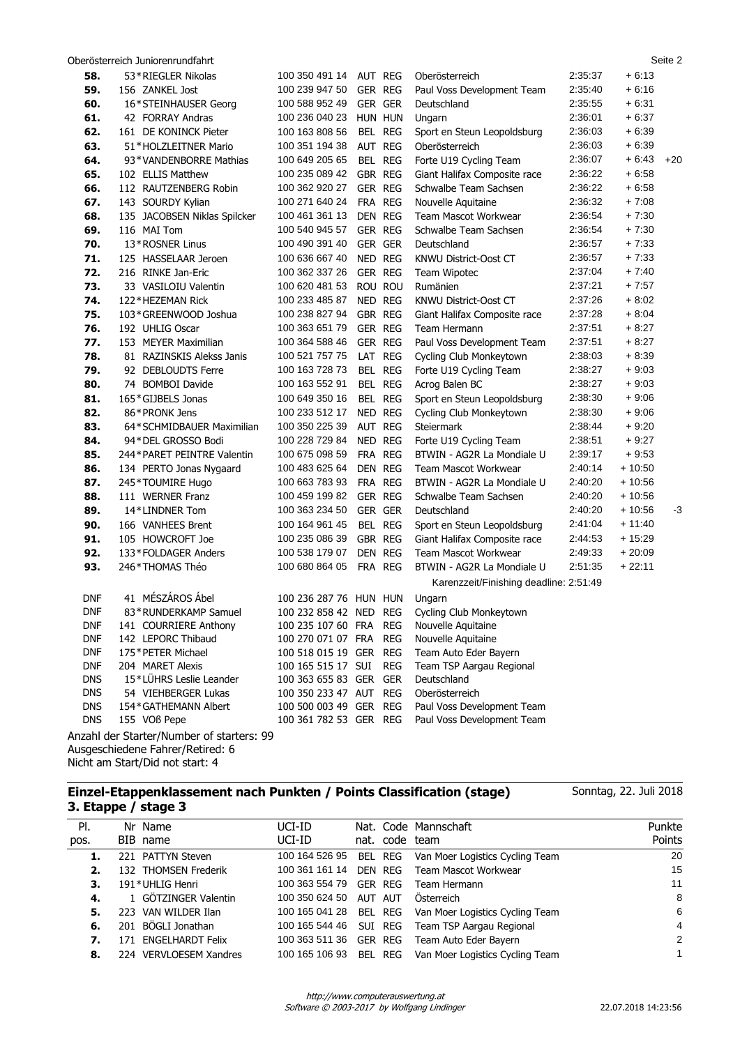|            | Oberösterreich Juniorenrundfahrt          |                        |                |                                        |         |          | Seite 2 |
|------------|-------------------------------------------|------------------------|----------------|----------------------------------------|---------|----------|---------|
| 58.        | 53*RIEGLER Nikolas                        | 100 350 491 14         | AUT REG        | Oberösterreich                         | 2:35:37 | $+6:13$  |         |
| 59.        | 156 ZANKEL Jost                           | 100 239 947 50         | <b>GER REG</b> | Paul Voss Development Team             | 2:35:40 | $+6:16$  |         |
| 60.        | 16*STEINHAUSER Georg                      | 100 588 952 49         | <b>GER GER</b> | Deutschland                            | 2:35:55 | $+6.31$  |         |
| 61.        | 42 FORRAY Andras                          | 100 236 040 23         | HUN HUN        | Ungarn                                 | 2:36:01 | $+6:37$  |         |
| 62.        | 161 DE KONINCK Pieter                     | 100 163 808 56         | BEL REG        | Sport en Steun Leopoldsburg            | 2:36:03 | $+6:39$  |         |
| 63.        | 51*HOLZLEITNER Mario                      | 100 351 194 38         | AUT REG        | Oberösterreich                         | 2:36:03 | $+6:39$  |         |
| 64.        | 93*VANDENBORRE Mathias                    | 100 649 205 65         | BEL REG        | Forte U19 Cycling Team                 | 2:36:07 | $+6:43$  | $+20$   |
| 65.        | 102 ELLIS Matthew                         | 100 235 089 42         | GBR REG        | Giant Halifax Composite race           | 2:36:22 | $+6:58$  |         |
| 66.        | 112 RAUTZENBERG Robin                     | 100 362 920 27         | <b>GER REG</b> | Schwalbe Team Sachsen                  | 2:36:22 | $+6:58$  |         |
| 67.        | 143 SOURDY Kylian                         | 100 271 640 24         | FRA REG        | Nouvelle Aquitaine                     | 2:36:32 | $+7:08$  |         |
| 68.        | 135 JACOBSEN Niklas Spilcker              | 100 461 361 13         | DEN REG        | Team Mascot Workwear                   | 2:36:54 | $+7:30$  |         |
| 69.        | 116 MAI Tom                               | 100 540 945 57         | GER REG        | Schwalbe Team Sachsen                  | 2:36:54 | $+7:30$  |         |
| 70.        | 13*ROSNER Linus                           | 100 490 391 40         | <b>GER GER</b> | Deutschland                            | 2:36:57 | $+7:33$  |         |
| 71.        | 125 HASSELAAR Jeroen                      | 100 636 667 40         | NED REG        | KNWU District-Oost CT                  | 2:36:57 | $+7:33$  |         |
| 72.        | 216 RINKE Jan-Eric                        | 100 362 337 26         | <b>GER REG</b> | Team Wipotec                           | 2:37:04 | $+7:40$  |         |
| 73.        | 33 VASILOIU Valentin                      | 100 620 481 53         | ROU ROU        | Rumänien                               | 2:37:21 | $+7:57$  |         |
| 74.        | 122*HEZEMAN Rick                          | 100 233 485 87         | NED REG        | <b>KNWU District-Oost CT</b>           | 2:37:26 | $+8:02$  |         |
| 75.        | 103*GREENWOOD Joshua                      | 100 238 827 94         | GBR REG        | Giant Halifax Composite race           | 2:37:28 | $+8:04$  |         |
| 76.        | 192 UHLIG Oscar                           | 100 363 651 79         | <b>GER REG</b> | Team Hermann                           | 2:37:51 | $+8:27$  |         |
| 77.        | 153 MEYER Maximilian                      | 100 364 588 46         | <b>GER REG</b> | Paul Voss Development Team             | 2:37:51 | $+8:27$  |         |
| 78.        | 81 RAZINSKIS Alekss Janis                 | 100 521 757 75         | LAT            | REG<br>Cycling Club Monkeytown         | 2:38:03 | $+8:39$  |         |
| 79.        | 92 DEBLOUDTS Ferre                        | 100 163 728 73         | BEL REG        | Forte U19 Cycling Team                 | 2:38:27 | $+9:03$  |         |
| 80.        | 74 BOMBOI Davide                          | 100 163 552 91         | BEL REG        | Acrog Balen BC                         | 2:38:27 | $+9:03$  |         |
| 81.        | 165*GIJBELS Jonas                         | 100 649 350 16         | BEL REG        | Sport en Steun Leopoldsburg            | 2:38:30 | $+9:06$  |         |
| 82.        | 86*PRONK Jens                             | 100 233 512 17         | NED REG        | Cycling Club Monkeytown                | 2:38:30 | $+9:06$  |         |
| 83.        | 64*SCHMIDBAUER Maximilian                 | 100 350 225 39         | AUT REG        | Steiermark                             | 2:38:44 | $+9:20$  |         |
| 84.        | 94*DEL GROSSO Bodi                        | 100 228 729 84         | NED REG        | Forte U19 Cycling Team                 | 2:38:51 | $+9.27$  |         |
| 85.        | 244* PARET PEINTRE Valentin               | 100 675 098 59         | FRA REG        | BTWIN - AG2R La Mondiale U             | 2:39:17 | $+9.53$  |         |
| 86.        | 134 PERTO Jonas Nygaard                   | 100 483 625 64         | DEN REG        | Team Mascot Workwear                   | 2:40:14 | $+10:50$ |         |
| 87.        | 245*TOUMIRE Hugo                          | 100 663 783 93         | FRA REG        | BTWIN - AG2R La Mondiale U             | 2:40:20 | $+10:56$ |         |
| 88.        | 111 WERNER Franz                          | 100 459 199 82         | GER REG        | Schwalbe Team Sachsen                  | 2:40:20 | $+10:56$ |         |
| 89.        | 14*LINDNER Tom                            | 100 363 234 50         | <b>GER GER</b> | Deutschland                            | 2:40:20 | $+10:56$ | -3      |
| 90.        | 166 VANHEES Brent                         | 100 164 961 45         | BEL REG        | Sport en Steun Leopoldsburg            | 2:41:04 | $+11:40$ |         |
| 91.        | 105 HOWCROFT Joe                          | 100 235 086 39         | GBR REG        | Giant Halifax Composite race           | 2:44:53 | $+15:29$ |         |
| 92.        | 133*FOLDAGER Anders                       | 100 538 179 07         | DEN REG        | <b>Team Mascot Workwear</b>            | 2:49:33 | $+20:09$ |         |
| 93.        | 246*THOMAS Théo                           | 100 680 864 05         | FRA REG        | BTWIN - AG2R La Mondiale U             | 2:51:35 | $+22:11$ |         |
|            |                                           |                        |                | Karenzzeit/Finishing deadline: 2:51:49 |         |          |         |
| <b>DNF</b> | 41 MÉSZÁROS Ábel                          | 100 236 287 76 HUN HUN |                | Ungarn                                 |         |          |         |
| <b>DNF</b> | 83*RUNDERKAMP Samuel                      | 100 232 858 42 NED REG |                | Cycling Club Monkeytown                |         |          |         |
| <b>DNF</b> | 141 COURRIERE Anthony                     | 100 235 107 60 FRA REG |                | Nouvelle Aquitaine                     |         |          |         |
| <b>DNF</b> | 142 LEPORC Thibaud                        | 100 270 071 07 FRA     |                | <b>REG</b><br>Nouvelle Aquitaine       |         |          |         |
| <b>DNF</b> | 175*PETER Michael                         | 100 518 015 19 GER REG |                | Team Auto Eder Bayern                  |         |          |         |
| <b>DNF</b> | 204 MARET Alexis                          | 100 165 515 17 SUI     |                | REG<br>Team TSP Aargau Regional        |         |          |         |
| <b>DNS</b> | 15*LÜHRS Leslie Leander                   | 100 363 655 83 GER GER |                | Deutschland                            |         |          |         |
| <b>DNS</b> | 54 VIEHBERGER Lukas                       | 100 350 233 47 AUT REG |                | Oberösterreich                         |         |          |         |
| <b>DNS</b> | 154*GATHEMANN Albert                      | 100 500 003 49 GER REG |                | Paul Voss Development Team             |         |          |         |
| <b>DNS</b> | 155 VOß Pepe                              | 100 361 782 53 GER REG |                | Paul Voss Development Team             |         |          |         |
|            | Anzahl der Starter/Number of starters: 99 |                        |                |                                        |         |          |         |

Ausgeschiedene Fahrer/Retired: 6 Nicht am Start/Did not start: 4

## **Einzel-Etappenklassement nach Punkten / Points Classification (stage) 3. Etappe / stage 3**

Nat. Code Mannschaft nat. code team Pl. pos. Nr Name BIB name Punkte Points UCI-ID UCI-ID **1.** 221 PATTYN Steven 100 164 526 95 BEL REG Van Moer Logistics Cycling Team 20 **2.** 132 THOMSEN Frederik 100 361 161 14 DEN REG Team Mascot Workwear 15 **3.** 191\*UHLIG Henri 100 363 554 79 GER REG Team Hermann 11 **4.** 1 GÖTZINGER Valentin 100 350 624 50 AUT AUT Österreich 8 **5.** 223 VAN WILDER Ilan 100 165 041 28 BEL REG Van Moer Logistics Cycling Team 6 **6.** 201 BÖGLI Jonathan 100 165 544 46 SUI REG Team TSP Aargau Regional 4 **7.** 171 ENGELHARDT Felix 100 363 511 36 GER REG Team Auto Eder Bayern 2 **8.** 224 VERVLOESEM Xandres 100 165 106 93 BEL REG Van Moer Logistics Cycling Team 1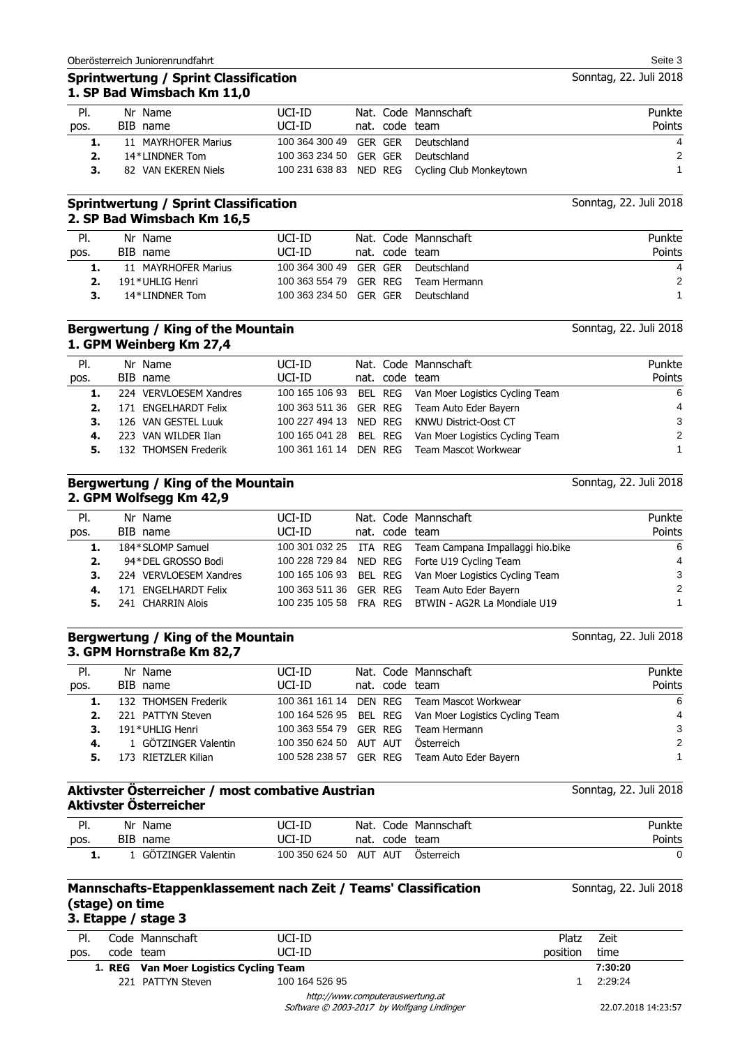#### **Sprintwertung / Sprint Classification 1. SP Bad Wimsbach Km 11,0**

| PI.  | Nr Name             | UCI-ID                             |                | Nat. Code Mannschaft                           | Punkte |
|------|---------------------|------------------------------------|----------------|------------------------------------------------|--------|
| pos. | BIB name            | UCI-ID                             | nat. code team |                                                | Points |
| ı.   | 11 MAYRHOFER Marius | 100 364 300 49 GER GER Deutschland |                |                                                | 4      |
|      | 14*LINDNER Tom      | 100 363 234 50 GER GER Deutschland |                |                                                | 2      |
|      | 82 VAN EKEREN Niels |                                    |                | 100 231 638 83 NED REG Cycling Club Monkeytown |        |

### **Sprintwertung / Sprint Classification 2. SP Bad Wimsbach Km 16,5**

| Nr Name             | UCI-ID |  | Punkte                                                                                                                                                       |
|---------------------|--------|--|--------------------------------------------------------------------------------------------------------------------------------------------------------------|
| BIB name            | UCI-ID |  | <b>Points</b>                                                                                                                                                |
| 11 MAYRHOFER Marius |        |  | 4                                                                                                                                                            |
| 191*UHLIG Henri     |        |  | $\mathcal{P}$                                                                                                                                                |
| 14*I INDNFR Tom     |        |  |                                                                                                                                                              |
|                     |        |  | Nat. Code Mannschaft<br>nat. code team<br>100 364 300 49 GER GER Deutschland<br>100 363 554 79 GER REG Team Hermann<br>100 363 234 50 GER GER<br>Deutschland |

## **Bergwertung / King of the Mountain 1. GPM Weinberg Km 27,4**

| PI.  | Nr Name                | UCI-ID |                | Nat. Code Mannschaft                                   | Punkte        |
|------|------------------------|--------|----------------|--------------------------------------------------------|---------------|
| pos. | BIB name               | UCI-ID | nat. code team |                                                        | Points        |
|      | 224 VERVLOESEM Xandres |        |                | 100 165 106 93 BEL REG Van Moer Logistics Cycling Team | 6             |
| 2.   | 171 ENGELHARDT Felix   |        |                | 100 363 511 36 GER REG Team Auto Eder Bayern           | 4             |
| 3.   | 126 VAN GESTEL Luuk    |        |                | 100 227 494 13 NED REG KNWU District-Oost CT           | 3             |
| 4.   | 223 VAN WILDER Ilan    |        |                | 100 165 041 28 BEL REG Van Moer Logistics Cycling Team | $\mathcal{P}$ |
| 5.   | 132 THOMSEN Frederik   |        |                | 100 361 161 14 DEN REG Team Mascot Workwear            |               |
|      |                        |        |                |                                                        |               |

#### **Bergwertung / King of the Mountain 2. GPM Wolfsegg Km 42,9**

Nat. Code Mannschaft nat. code team Pl. pos. Nr Name BIB name Punkte Points UCI-ID UCI-ID **1.** 184\*SLOMP Samuel 100 301 032 25 ITA REG Team Campana Impallaggi hio.bike 6 **2.** 94\*DEL GROSSO Bodi 100 228 729 84 NED REG Forte U19 Cycling Team 4 **3.** 224 VERVLOESEM Xandres 100 165 106 93 BEL REG Van Moer Logistics Cycling Team 3 **4.** 171 ENGELHARDT Felix 100 363 511 36 GER REG Team Auto Eder Bayern 2 **5.** 241 CHARRIN Alois 100 235 105 58 FRA REG BTWIN - AG2R La Mondiale U19 1

#### **Bergwertung / King of the Mountain 3. GPM Hornstraße Km 82,7**

| PI.  | Nr Name              | UCI-ID                 |                | Nat. Code Mannschaft                                   | Punkte |
|------|----------------------|------------------------|----------------|--------------------------------------------------------|--------|
| pos. | BIB name             | UCI-ID                 | nat. code team |                                                        | Points |
|      | 132 THOMSEN Frederik | 100 361 161 14         |                | DEN REG Team Mascot Workwear                           | 6      |
| 2.   | 221 PATTYN Steven    |                        |                | 100 164 526 95 BEL REG Van Moer Logistics Cycling Team | 4      |
| 3.   | 191*UHLIG Henri      | 100 363 554 79 GER REG |                | Team Hermann                                           | 3      |
| 4.   | 1 GÖTZINGER Valentin | 100 350 624 50 AUT AUT |                | Österreich                                             | 2      |
| 5.   | 173 RIETZLER Kilian  | 100 528 238 57 GER REG |                | Team Auto Eder Bayern                                  |        |

## **Aktivster Österreicher / most combative Austrian Aktivster Österreicher**

| PI.  | Nr<br>Name  |                           | JCI-ID         | Nat.    |      | Code Mannschaft | Punkte |
|------|-------------|---------------------------|----------------|---------|------|-----------------|--------|
| pos. | BIB<br>name |                           | JCI-ID         | nat.    | code | team            | Points |
| . .  |             | <b>GÖTZINGER Valentin</b> | 100 350 624 50 | AUT AUT |      | Osterreich      |        |

#### Code Mannschaft code team **Mannschafts-Etappenklassement nach Zeit / Teams' Classification (stage) on time 3. Etappe / stage 3** Pl. pos. Zeit time Sonntag, 22. Juli 2018 Platz position UCI-ID UCI-ID **1. REG Van Moer Logistics Cycling Team 7:30:20**

221 PATTYN Steven 100 164 526 95 1 2:29:24 1 2:29:24

Software © 2003-2017 by Wolfgang Lindinger http://www.computerauswertung.at

22.07.2018 14:23:57

Sonntag, 22. Juli 2018

Sonntag, 22. Juli 2018

Sonntag, 22. Juli 2018

Sonntag, 22. Juli 2018

Sonntag, 22. Juli 2018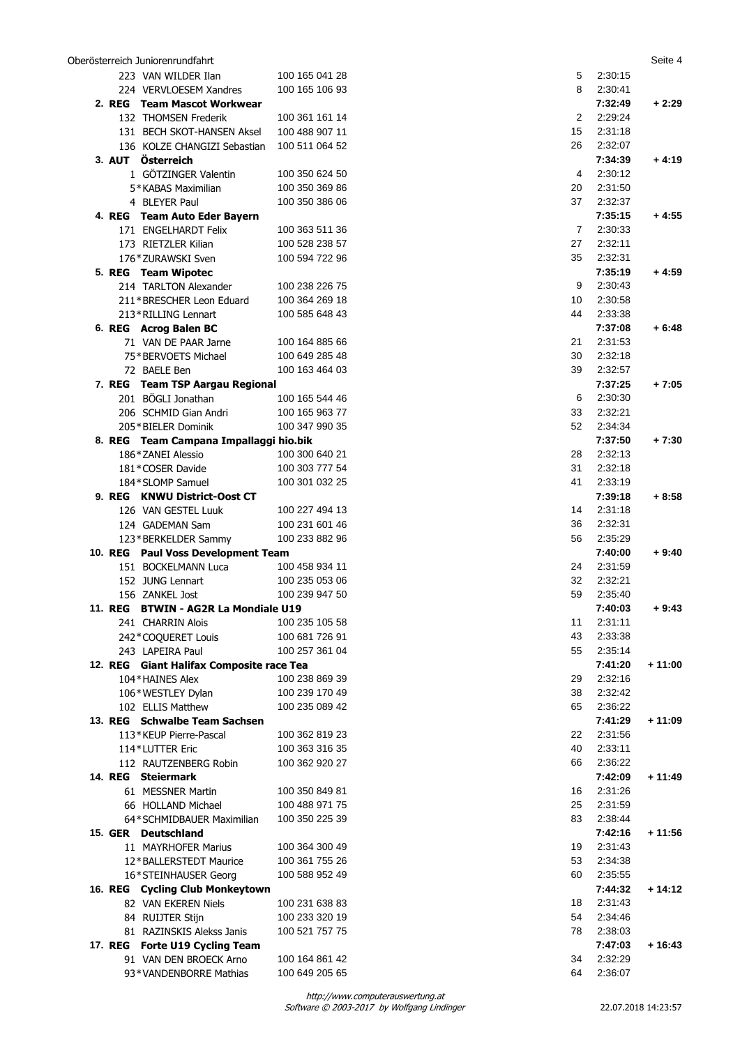|                | Oberösterreich Juniorenrundfahrt         |                |                |         | Seite 4  |
|----------------|------------------------------------------|----------------|----------------|---------|----------|
|                | 223 VAN WILDER Ilan                      | 100 165 041 28 | 5              | 2:30:15 |          |
|                | 224 VERVLOESEM Xandres                   | 100 165 106 93 | 8              | 2:30:41 |          |
|                | 2. REG Team Mascot Workwear              |                |                | 7:32:49 | $+2:29$  |
|                | 132 THOMSEN Frederik                     | 100 361 161 14 | $\overline{2}$ | 2:29:24 |          |
|                | 131 BECH SKOT-HANSEN Aksel               | 100 488 907 11 | 15             | 2:31:18 |          |
|                | 136 KOLZE CHANGIZI Sebastian             | 100 511 064 52 | 26             | 2:32:07 |          |
|                | 3. AUT Österreich                        |                |                | 7:34:39 | $+4:19$  |
|                | 1 GÖTZINGER Valentin                     | 100 350 624 50 | 4              | 2:30:12 |          |
|                | 5*KABAS Maximilian                       | 100 350 369 86 | 20             | 2:31:50 |          |
|                | 4 BLEYER Paul                            | 100 350 386 06 | 37             | 2:32:37 |          |
|                | 4. REG Team Auto Eder Bayern             |                |                | 7:35:15 | $+4:55$  |
|                | 171 ENGELHARDT Felix                     | 100 363 511 36 | $\overline{7}$ | 2:30:33 |          |
|                | 173 RIETZLER Kilian                      | 100 528 238 57 | 27             | 2:32:11 |          |
|                |                                          | 100 594 722 96 | 35             | 2:32:31 |          |
|                | 176*ZURAWSKI Sven                        |                |                |         |          |
|                | 5. REG Team Wipotec                      |                |                | 7:35:19 | $+4:59$  |
|                | 214 TARLTON Alexander                    | 100 238 226 75 | 9              | 2:30:43 |          |
|                | 211*BRESCHER Leon Eduard                 | 100 364 269 18 | 10             | 2:30:58 |          |
|                | 213*RILLING Lennart                      | 100 585 648 43 | 44             | 2:33:38 |          |
|                | 6. REG Acrog Balen BC                    |                |                | 7:37:08 | $+6:48$  |
|                | 71 VAN DE PAAR Jarne                     | 100 164 885 66 | 21             | 2:31:53 |          |
|                | 75*BERVOETS Michael                      | 100 649 285 48 | 30             | 2:32:18 |          |
|                | 72 BAELE Ben                             | 100 163 464 03 | 39             | 2:32:57 |          |
|                | 7. REG Team TSP Aargau Regional          |                |                | 7:37:25 | $+7:05$  |
|                | 201 BÖGLI Jonathan                       | 100 165 544 46 | 6              | 2:30:30 |          |
|                | 206 SCHMID Gian Andri                    | 100 165 963 77 | 33             | 2:32:21 |          |
|                | 205*BIELER Dominik                       | 100 347 990 35 | 52             | 2:34:34 |          |
|                | 8. REG Team Campana Impallaggi hio.bik   |                |                | 7:37:50 | $+7:30$  |
|                | 186*ZANEI Alessio                        | 100 300 640 21 | 28             | 2:32:13 |          |
|                | 181*COSER Davide                         | 100 303 777 54 | 31             | 2:32:18 |          |
|                | 184*SLOMP Samuel                         | 100 301 032 25 | 41             | 2:33:19 |          |
|                | 9. REG KNWU District-Oost CT             |                |                | 7:39:18 | $+8:58$  |
|                | 126 VAN GESTEL Luuk                      | 100 227 494 13 | 14             | 2:31:18 |          |
|                | 124 GADEMAN Sam                          | 100 231 601 46 | 36             | 2:32:31 |          |
|                | 123*BERKELDER Sammy                      | 100 233 882 96 | 56             | 2:35:29 |          |
|                | 10. REG Paul Voss Development Team       |                |                | 7:40:00 | $+9:40$  |
|                | 151 BOCKELMANN Luca                      | 100 458 934 11 | 24             | 2:31:59 |          |
|                | 152 JUNG Lennart                         | 100 235 053 06 | 32             | 2:32:21 |          |
|                | 156 ZANKEL Jost                          | 100 239 947 50 | 59             | 2:35:40 |          |
| <b>11. REG</b> | <b>BTWIN - AG2R La Mondiale U19</b>      |                |                | 7:40:03 | $+9:43$  |
|                | 241 CHARRIN Alois                        | 100 235 105 58 | 11             | 2:31:11 |          |
|                | 242*COQUERET Louis                       | 100 681 726 91 | 43             | 2:33:38 |          |
|                | 243 LAPEIRA Paul                         | 100 257 361 04 | 55             | 2:35:14 |          |
|                | 12. REG Giant Halifax Composite race Tea |                |                | 7:41:20 | $+11:00$ |
|                | 104*HAINES Alex                          | 100 238 869 39 | 29             | 2:32:16 |          |
|                |                                          |                |                |         |          |
|                | 106*WESTLEY Dylan                        | 100 239 170 49 | 38             | 2:32:42 |          |
|                | 102 ELLIS Matthew                        | 100 235 089 42 | 65             | 2:36:22 |          |
|                | 13. REG Schwalbe Team Sachsen            |                |                | 7:41:29 | $+11:09$ |
|                | 113*KEUP Pierre-Pascal                   | 100 362 819 23 | 22             | 2:31:56 |          |
|                | 114*LUTTER Eric                          | 100 363 316 35 | 40             | 2:33:11 |          |
|                | 112 RAUTZENBERG Robin                    | 100 362 920 27 | 66             | 2:36:22 |          |
|                | 14. REG Steiermark                       |                |                | 7:42:09 | $+11:49$ |
|                | 61 MESSNER Martin                        | 100 350 849 81 | 16             | 2:31:26 |          |
|                | 66 HOLLAND Michael                       | 100 488 971 75 | 25             | 2:31:59 |          |
|                | 64*SCHMIDBAUER Maximilian                | 100 350 225 39 | 83             | 2:38:44 |          |
|                | 15. GER Deutschland                      |                |                | 7:42:16 | $+11:56$ |
|                | 11 MAYRHOFER Marius                      | 100 364 300 49 | 19             | 2:31:43 |          |
|                | 12*BALLERSTEDT Maurice                   | 100 361 755 26 | 53             | 2:34:38 |          |
|                | 16*STEINHAUSER Georg                     | 100 588 952 49 | 60             | 2:35:55 |          |
|                | 16. REG Cycling Club Monkeytown          |                |                | 7:44:32 | $+14:12$ |
|                | 82 VAN EKEREN Niels                      | 100 231 638 83 | 18             | 2:31:43 |          |
|                | 84 RUIJTER Stijn                         | 100 233 320 19 | 54             | 2:34:46 |          |
|                | 81 RAZINSKIS Alekss Janis                | 100 521 757 75 | 78             | 2:38:03 |          |
|                | 17. REG Forte U19 Cycling Team           |                |                | 7:47:03 | $+16:43$ |
|                | 91 VAN DEN BROECK Arno                   | 100 164 861 42 | 34             | 2:32:29 |          |
|                | 93*VANDENBORRE Mathias                   | 100 649 205 65 | 64             | 2:36:07 |          |
|                |                                          |                |                |         |          |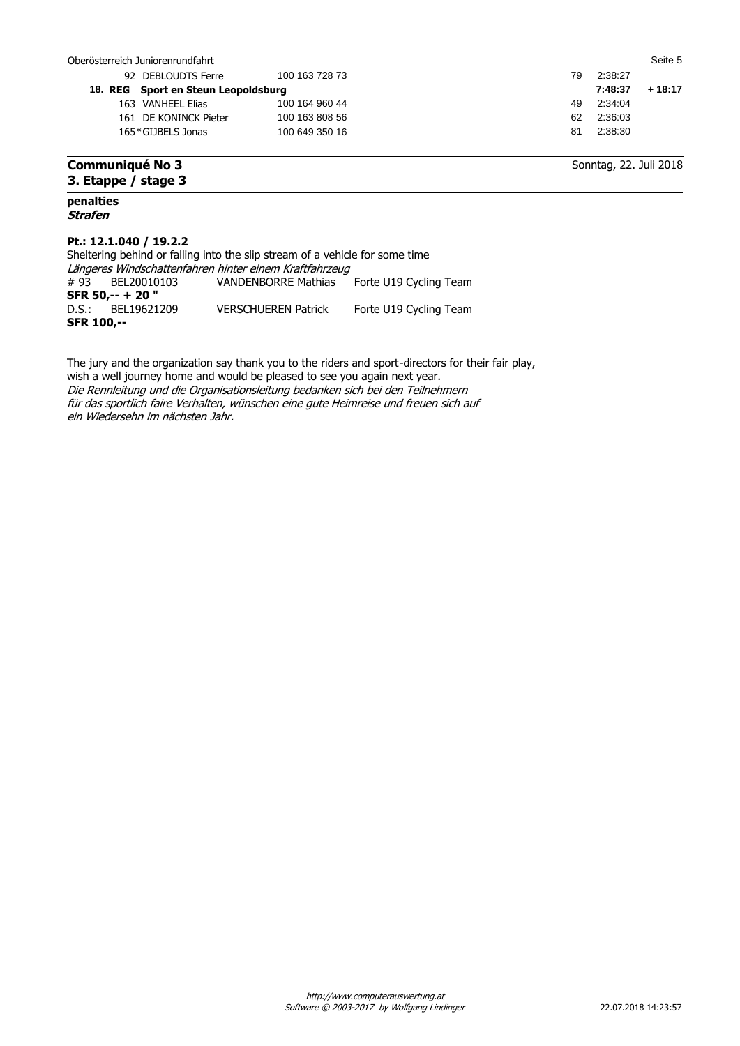| Oberösterreich Juniorenrundfahrt    |                |    |                        | Seite 5  |
|-------------------------------------|----------------|----|------------------------|----------|
| 92 DEBLOUDTS Ferre                  | 100 163 728 73 | 79 | 2:38:27                |          |
| 18. REG Sport en Steun Leopoldsburg |                |    | 7:48:37                | $+18:17$ |
| 163 VANHEEL Elias                   | 100 164 960 44 | 49 | 2:34:04                |          |
| 161 DE KONINCK Pieter               | 100 163 808 56 | 62 | 2:36:03                |          |
| 165*GLIBELS Jonas                   | 100 649 350 16 | 81 | 2:38:30                |          |
| <b>Communiqué No 3</b>              |                |    | Sonntag, 22. Juli 2018 |          |

## **Communiqué No 3 3. Etappe / stage 3**

#### **penalties Strafen**

## **Pt.: 12.1.040 / 19.2.2**

|                                                        | Sheltering behind or falling into the slip stream of a vehicle for some time |                                            |                        |  |  |  |  |  |  |  |
|--------------------------------------------------------|------------------------------------------------------------------------------|--------------------------------------------|------------------------|--|--|--|--|--|--|--|
| Längeres Windschattenfahren hinter einem Kraftfahrzeug |                                                                              |                                            |                        |  |  |  |  |  |  |  |
|                                                        | #93 BEL20010103                                                              | VANDENBORRE Mathias Forte U19 Cycling Team |                        |  |  |  |  |  |  |  |
|                                                        | SFR 50,-- + 20"                                                              |                                            |                        |  |  |  |  |  |  |  |
|                                                        | D.S.: BEL19621209                                                            | <b>VERSCHUEREN Patrick</b>                 | Forte U19 Cycling Team |  |  |  |  |  |  |  |
|                                                        | <b>SFR 100.--</b>                                                            |                                            |                        |  |  |  |  |  |  |  |

The jury and the organization say thank you to the riders and sport-directors for their fair play, wish a well journey home and would be pleased to see you again next year. Die Rennleitung und die Organisationsleitung bedanken sich bei den Teilnehmern für das sportlich faire Verhalten, wünschen eine gute Heimreise und freuen sich auf ein Wiedersehn im nächsten Jahr.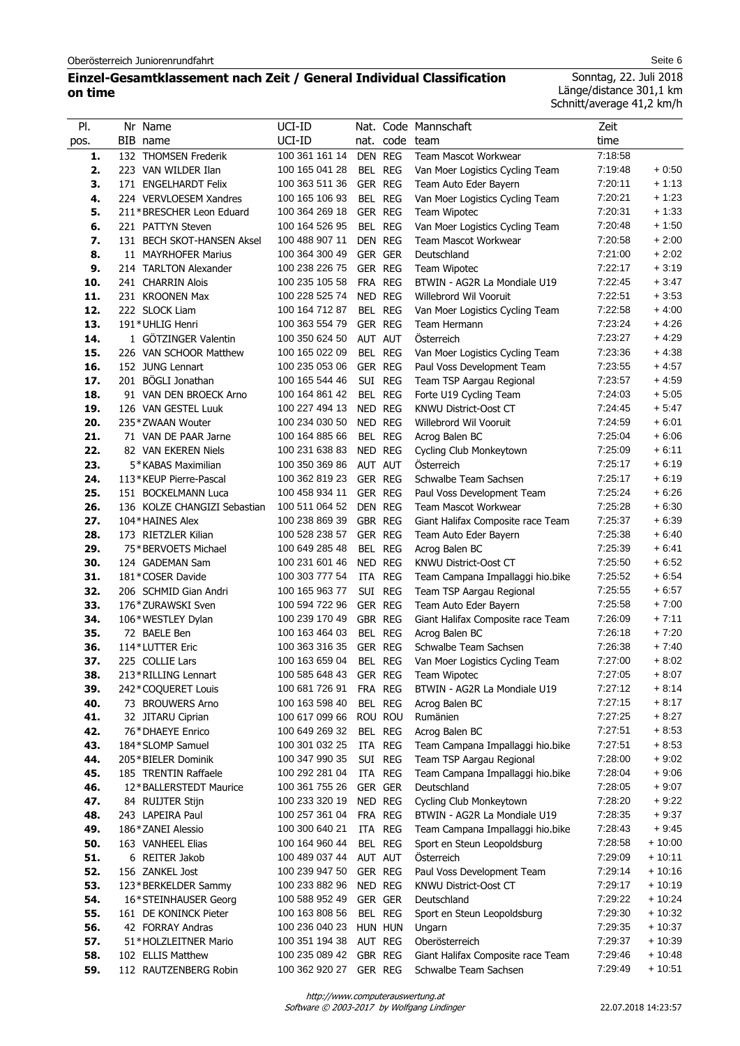## **Einzel-Gesamtklassement nach Zeit / General Individual Classification on time**

Sonntag, 22. Juli 2018 Länge/distance 301,1 km Schnitt/average 41,2 km/h

| PI.        | Nr Name                                | UCI-ID                           |         |                | Nat. Code Mannschaft                                   | Zeit               |                    |
|------------|----------------------------------------|----------------------------------|---------|----------------|--------------------------------------------------------|--------------------|--------------------|
| pos.       | BIB name                               | UCI-ID                           |         |                | nat. code team                                         | time               |                    |
| 1.         | 132 THOMSEN Frederik                   | 100 361 161 14                   |         | DEN REG        | <b>Team Mascot Workwear</b>                            | 7:18:58            |                    |
| 2.         | 223 VAN WILDER Ilan                    | 100 165 041 28                   |         | BEL REG        | Van Moer Logistics Cycling Team                        | 7:19:48            | $+0.50$            |
| 3.         | 171 ENGELHARDT Felix                   | 100 363 511 36                   |         | GER REG        | Team Auto Eder Bayern                                  | 7:20:11            | $+1:13$            |
| 4.         | 224 VERVLOESEM Xandres                 | 100 165 106 93                   |         | BEL REG        | Van Moer Logistics Cycling Team                        | 7:20:21            | $+1:23$            |
| 5.         | 211*BRESCHER Leon Eduard               | 100 364 269 18                   |         | GER REG        | Team Wipotec                                           | 7:20:31            | $+1:33$            |
| 6.         | 221 PATTYN Steven                      | 100 164 526 95                   |         | BEL REG        | Van Moer Logistics Cycling Team                        | 7:20:48            | $+1:50$            |
| 7.         | 131 BECH SKOT-HANSEN Aksel             | 100 488 907 11                   |         | DEN REG        | Team Mascot Workwear                                   | 7:20:58            | $+2:00$            |
| 8.         | 11 MAYRHOFER Marius                    | 100 364 300 49                   |         | <b>GER GER</b> | Deutschland                                            | 7:21:00            | $+2:02$            |
| 9.         | 214 TARLTON Alexander                  | 100 238 226 75                   |         | GER REG        | <b>Team Wipotec</b>                                    | 7:22:17            | $+3:19$            |
| 10.        | 241 CHARRIN Alois                      | 100 235 105 58                   |         | FRA REG        | BTWIN - AG2R La Mondiale U19                           | 7:22:45            | $+3.47$            |
| 11.        | 231 KROONEN Max                        | 100 228 525 74                   |         | NED REG        | Willebrord Wil Vooruit                                 | 7:22:51            | $+3:53$            |
| 12.        | 222 SLOCK Liam                         | 100 164 712 87                   |         | BEL REG        | Van Moer Logistics Cycling Team                        | 7:22:58            | $+4:00$            |
| 13.        | 191*UHLIG Henri                        | 100 363 554 79                   |         | GER REG        | Team Hermann                                           | 7:23:24            | $+4.26$            |
| 14.        | 1 GÖTZINGER Valentin                   | 100 350 624 50                   |         | AUT AUT        | Österreich                                             | 7:23:27            | $+4:29$            |
| 15.        | 226 VAN SCHOOR Matthew                 | 100 165 022 09                   |         | BEL REG        | Van Moer Logistics Cycling Team                        | 7:23:36            | $+4:38$            |
| 16.        | 152 JUNG Lennart                       | 100 235 053 06                   |         | GER REG        | Paul Voss Development Team                             | 7:23:55            | $+4.57$            |
| 17.        | 201 BÖGLI Jonathan                     | 100 165 544 46                   |         | SUI REG        | Team TSP Aargau Regional                               | 7:23:57            | $+4.59$            |
| 18.        | 91 VAN DEN BROECK Arno                 | 100 164 861 42                   |         | BEL REG        | Forte U19 Cycling Team                                 | 7:24:03            | $+5:05$            |
| 19.        | 126 VAN GESTEL Luuk                    | 100 227 494 13                   |         | NED REG        | <b>KNWU District-Oost CT</b>                           | 7:24:45            | $+5.47$            |
| 20.        | 235*ZWAAN Wouter                       | 100 234 030 50                   |         | NED REG        | Willebrord Wil Vooruit                                 | 7:24:59            | $+6:01$            |
| 21.        | 71 VAN DE PAAR Jarne                   | 100 164 885 66                   |         | BEL REG        | Acrog Balen BC                                         | 7:25:04            | $+6:06$            |
| 22.        | 82 VAN EKEREN Niels                    | 100 231 638 83                   |         | NED REG        | Cycling Club Monkeytown                                | 7:25:09            | $+6:11$            |
| 23.        | 5*KABAS Maximilian                     | 100 350 369 86                   |         | AUT AUT        | <b>Osterreich</b>                                      | 7:25:17            | $+6:19$            |
| 24.        | 113*KEUP Pierre-Pascal                 | 100 362 819 23                   |         | GER REG        | Schwalbe Team Sachsen                                  | 7:25:17            | $+6:19$            |
| 25.        | 151 BOCKELMANN Luca                    | 100 458 934 11                   |         | GER REG        | Paul Voss Development Team                             | 7:25:24            | $+6:26$            |
| 26.        | 136 KOLZE CHANGIZI Sebastian           | 100 511 064 52                   | DEN REG |                | Team Mascot Workwear                                   | 7:25:28            | $+6:30$            |
| 27.        | 104*HAINES Alex                        | 100 238 869 39                   | GBR REG |                | Giant Halifax Composite race Team                      | 7:25:37            | $+6.39$            |
| 28.        | 173 RIETZLER Kilian                    | 100 528 238 57                   |         | GER REG        | Team Auto Eder Bayern                                  | 7:25:38            | $+6:40$            |
| 29.        | 75*BERVOETS Michael                    | 100 649 285 48                   |         | BEL REG        | Acrog Balen BC                                         | 7:25:39            | $+6:41$            |
| 30.        | 124 GADEMAN Sam                        | 100 231 601 46                   |         | NED REG        | KNWU District-Oost CT                                  | 7:25:50            | $+6.52$            |
| 31.        | 181*COSER Davide                       | 100 303 777 54                   |         | ITA REG        | Team Campana Impallaggi hio.bike                       | 7:25:52            | $+6:54$            |
| 32.        | 206 SCHMID Gian Andri                  | 100 165 963 77                   |         | SUI REG        | Team TSP Aargau Regional                               | 7:25:55            | $+6.57$            |
| 33.        | 176*ZURAWSKI Sven                      | 100 594 722 96                   |         | GER REG        | Team Auto Eder Bayern                                  | 7:25:58            | $+7:00$            |
| 34.        | 106*WESTLEY Dylan                      | 100 239 170 49<br>100 163 464 03 | GBR REG |                | Giant Halifax Composite race Team                      | 7:26:09            | $+7:11$            |
| 35.        | 72 BAELE Ben                           |                                  |         | BEL REG        | Acrog Balen BC                                         | 7:26:18            | $+7:20$<br>$+7:40$ |
| 36.<br>37. | 114*LUTTER Eric                        | 100 363 316 35<br>100 163 659 04 | GER REG | BEL REG        | Schwalbe Team Sachsen                                  | 7:26:38<br>7:27:00 | $+8:02$            |
| 38.        | 225 COLLIE Lars<br>213*RILLING Lennart | 100 585 648 43                   |         | GER REG        | Van Moer Logistics Cycling Team<br><b>Team Wipotec</b> | 7:27:05            | $+8.07$            |
| 39.        | 242*COQUERET Louis                     | 100 681 726 91                   |         | FRA REG        | BTWIN - AG2R La Mondiale U19                           | 7:27:12            | $+8:14$            |
| 40.        | 73 BROUWERS Arno                       | 100 163 598 40                   |         | BEL REG        | Acrog Balen BC                                         | 7:27:15            | $+8:17$            |
| 41.        | 32 JITARU Ciprian                      | 100 617 099 66                   |         | ROU ROU        | Rumänien                                               | 7:27:25            | $+8:27$            |
| 42.        | 76*DHAEYE Enrico                       | 100 649 269 32                   |         | BEL REG        | Acrog Balen BC                                         | 7:27:51            | $+8.53$            |
| 43.        | 184*SLOMP Samuel                       | 100 301 032 25                   |         | ITA REG        | Team Campana Impallaggi hio.bike                       | 7:27:51            | $+8:53$            |
| 44.        | 205*BIELER Dominik                     | 100 347 990 35                   |         | SUI REG        | Team TSP Aargau Regional                               | 7:28:00            | $+9:02$            |
| 45.        | 185 TRENTIN Raffaele                   | 100 292 281 04                   |         | ITA REG        | Team Campana Impallaggi hio.bike                       | 7:28:04            | $+9:06$            |
| 46.        | 12*BALLERSTEDT Maurice                 | 100 361 755 26                   |         | GER GER        | Deutschland                                            | 7:28:05            | $+9:07$            |
| 47.        | 84 RUIJTER Stijn                       | 100 233 320 19                   |         | NED REG        | Cycling Club Monkeytown                                | 7:28:20            | $+9.22$            |
| 48.        | 243 LAPEIRA Paul                       | 100 257 361 04                   |         | FRA REG        | BTWIN - AG2R La Mondiale U19                           | 7:28:35            | $+9:37$            |
| 49.        | 186*ZANEI Alessio                      | 100 300 640 21                   |         | ITA REG        | Team Campana Impallaggi hio.bike                       | 7:28:43            | $+9.45$            |
| 50.        | 163 VANHEEL Elias                      | 100 164 960 44                   |         | BEL REG        | Sport en Steun Leopoldsburg                            | 7:28:58            | + 10:00            |
| 51.        | 6 REITER Jakob                         | 100 489 037 44                   | AUT AUT |                | Österreich                                             | 7:29:09            | $+10:11$           |
| 52.        | 156 ZANKEL Jost                        | 100 239 947 50                   |         | GER REG        | Paul Voss Development Team                             | 7:29:14            | $+10:16$           |
| 53.        | 123*BERKELDER Sammy                    | 100 233 882 96                   |         | NED REG        | KNWU District-Oost CT                                  | 7:29:17            | $+10:19$           |
| 54.        | 16*STEINHAUSER Georg                   | 100 588 952 49                   |         | GER GER        | Deutschland                                            | 7:29:22            | $+10:24$           |
| 55.        | 161 DE KONINCK Pieter                  | 100 163 808 56                   |         | BEL REG        | Sport en Steun Leopoldsburg                            | 7:29:30            | $+10:32$           |
| 56.        | 42 FORRAY Andras                       | 100 236 040 23                   |         | HUN HUN        | Ungarn                                                 | 7:29:35            | $+10:37$           |
| 57.        | 51*HOLZLEITNER Mario                   | 100 351 194 38                   |         | AUT REG        | Oberösterreich                                         | 7:29:37            | $+10:39$           |
| 58.        | 102 ELLIS Matthew                      | 100 235 089 42                   | GBR REG |                | Giant Halifax Composite race Team                      | 7:29:46            | $+10:48$           |
| 59.        | 112 RAUTZENBERG Robin                  | 100 362 920 27                   |         | GER REG        | Schwalbe Team Sachsen                                  | 7:29:49            | + 10:51            |

Software © 2003-2017 by Wolfgang Lindinger http://www.computerauswertung.at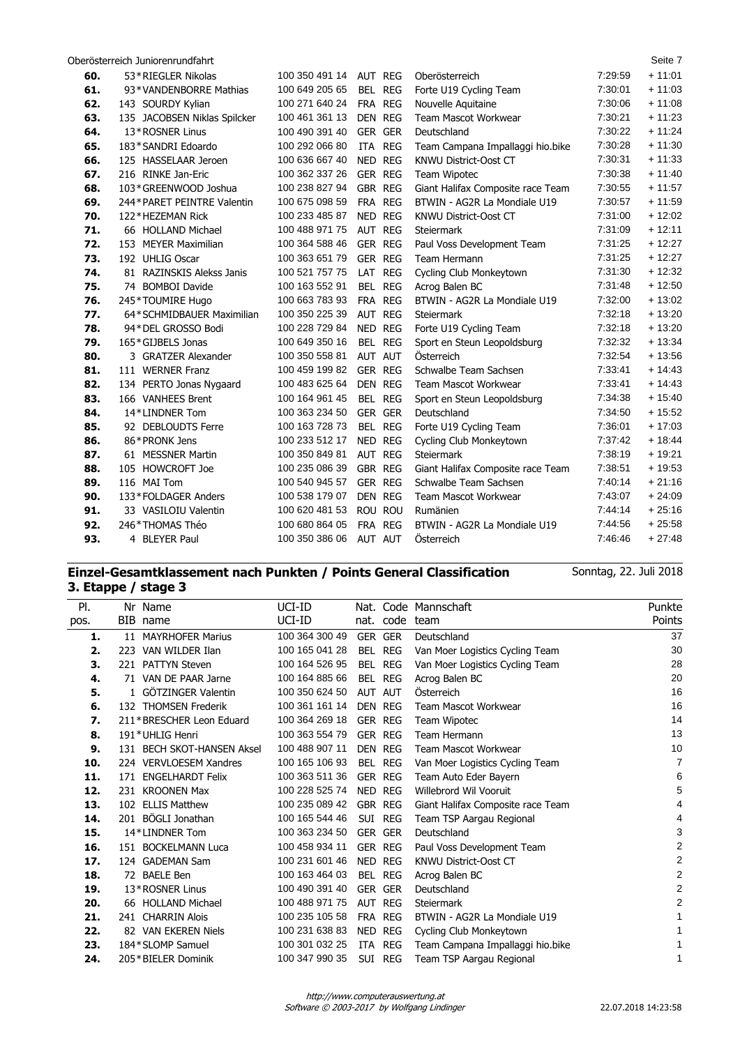Oberösterreich Juniorenrundfahrt Seite 7

| 60. | 53*RIEGLER Nikolas           | 100 350 491 14 | AUT REG        | Oberösterreich                    | 7:29:59 | $+11:01$ |
|-----|------------------------------|----------------|----------------|-----------------------------------|---------|----------|
| 61. | 93*VANDENBORRE Mathias       | 100 649 205 65 | BEL REG        | Forte U19 Cycling Team            | 7:30:01 | $+11:03$ |
| 62. | 143 SOURDY Kylian            | 100 271 640 24 | FRA REG        | Nouvelle Aquitaine                | 7:30:06 | $+11:08$ |
| 63. | 135 JACOBSEN Niklas Spilcker | 100 461 361 13 | DEN REG        | <b>Team Mascot Workwear</b>       | 7:30:21 | $+11:23$ |
| 64. | 13*ROSNER Linus              | 100 490 391 40 | <b>GER GER</b> | Deutschland                       | 7:30:22 | $+11:24$ |
| 65. | 183*SANDRI Edoardo           | 100 292 066 80 | ITA REG        | Team Campana Impallaggi hio.bike  | 7:30:28 | $+11:30$ |
| 66. | 125 HASSELAAR Jeroen         | 100 636 667 40 | NED REG        | <b>KNWU District-Oost CT</b>      | 7:30:31 | $+11:33$ |
| 67. | 216 RINKE Jan-Eric           | 100 362 337 26 | <b>GER REG</b> | Team Wipotec                      | 7:30:38 | $+11:40$ |
| 68. | 103*GREENWOOD Joshua         | 100 238 827 94 | <b>GBR REG</b> | Giant Halifax Composite race Team | 7:30:55 | $+11:57$ |
| 69. | 244*PARET PEINTRE Valentin   | 100 675 098 59 | FRA REG        | BTWIN - AG2R La Mondiale U19      | 7:30:57 | $+11:59$ |
| 70. | 122*HEZEMAN Rick             | 100 233 485 87 | NED REG        | KNWU District-Oost CT             | 7:31:00 | $+12:02$ |
| 71. | 66 HOLLAND Michael           | 100 488 971 75 | AUT REG        | <b>Steiermark</b>                 | 7:31:09 | $+12:11$ |
| 72. | 153 MEYER Maximilian         | 100 364 588 46 | GER REG        | Paul Voss Development Team        | 7:31:25 | $+12:27$ |
| 73. | 192 UHLIG Oscar              | 100 363 651 79 | <b>GER REG</b> | Team Hermann                      | 7:31:25 | $+12:27$ |
| 74. | 81 RAZINSKIS Alekss Janis    | 100 521 757 75 | LAT REG        | Cycling Club Monkeytown           | 7:31:30 | $+12:32$ |
| 75. | 74 BOMBOI Davide             | 100 163 552 91 | BEL REG        | Acrog Balen BC                    | 7:31:48 | $+12:50$ |
| 76. | 245*TOUMIRE Hugo             | 100 663 783 93 | FRA REG        | BTWIN - AG2R La Mondiale U19      | 7:32:00 | $+13:02$ |
| 77. | 64*SCHMIDBAUER Maximilian    | 100 350 225 39 | <b>AUT REG</b> | <b>Steiermark</b>                 | 7:32:18 | $+13:20$ |
| 78. | 94*DEL GROSSO Bodi           | 100 228 729 84 | NED REG        | Forte U19 Cycling Team            | 7:32:18 | $+13:20$ |
| 79. | 165*GIJBELS Jonas            | 100 649 350 16 | BEL REG        | Sport en Steun Leopoldsburg       | 7:32:32 | $+13:34$ |
| 80. | 3 GRATZER Alexander          | 100 350 558 81 | AUT AUT        | Österreich                        | 7:32:54 | $+13:56$ |
| 81. | 111 WERNER Franz             | 100 459 199 82 | GER REG        | Schwalbe Team Sachsen             | 7:33:41 | $+14:43$ |
| 82. | 134 PERTO Jonas Nygaard      | 100 483 625 64 | <b>DEN REG</b> | <b>Team Mascot Workwear</b>       | 7:33:41 | $+14:43$ |
| 83. | 166 VANHEES Brent            | 100 164 961 45 | BEL REG        | Sport en Steun Leopoldsburg       | 7:34:38 | $+15:40$ |
| 84. | 14*LINDNER Tom               | 100 363 234 50 | GER GER        | Deutschland                       | 7:34:50 | $+15.52$ |
| 85. | 92 DEBLOUDTS Ferre           | 100 163 728 73 | BEL REG        | Forte U19 Cycling Team            | 7.36.01 | $+17:03$ |
| 86. | 86*PRONK Jens                | 100 233 512 17 | NED REG        | Cycling Club Monkeytown           | 7:37:42 | $+18:44$ |
| 87. | 61 MESSNER Martin            | 100 350 849 81 | <b>AUT REG</b> | <b>Steiermark</b>                 | 7:38:19 | $+19:21$ |
| 88. | 105 HOWCROFT Joe             | 100 235 086 39 | <b>GBR REG</b> | Giant Halifax Composite race Team | 7.38.51 | $+19:53$ |
| 89. | 116 MAI Tom                  | 100 540 945 57 | <b>GER REG</b> | Schwalbe Team Sachsen             | 7:40:14 | $+21:16$ |
| 90. | 133*FOLDAGER Anders          | 100 538 179 07 | DEN REG        | <b>Team Mascot Workwear</b>       | 7:43:07 | $+24:09$ |
| 91. | 33 VASILOIU Valentin         | 100 620 481 53 | ROU ROU        | Rumänien                          | 7:44:14 | $+25:16$ |
| 92. | 246*THOMAS Théo              | 100 680 864 05 | FRA REG        | BTWIN - AG2R La Mondiale U19      | 7:44:56 | $+25:58$ |
| 93. | 4 BLEYER Paul                | 100 350 386 06 | AUT AUT        | Österreich                        | 7:46:46 | $+27:48$ |
|     |                              |                |                |                                   |         |          |

## **Einzel-Gesamtklassement nach Punkten / Points General Classification 3. Etappe / stage 3**

| PI.  |     | Nr Name                    | UCI-ID         | Nat.           |            | Code Mannschaft                   | Punkte                  |
|------|-----|----------------------------|----------------|----------------|------------|-----------------------------------|-------------------------|
| pos. |     | BIB name                   | UCI-ID         |                | nat. code  | team                              | Points                  |
|      |     |                            | 100 364 300 49 |                |            | Deutschland                       | 37                      |
| 1.   | 11  | <b>MAYRHOFER Marius</b>    |                | <b>GER GER</b> |            |                                   |                         |
| 2.   |     | 223 VAN WILDER Ilan        | 100 165 041 28 | BEL            | <b>REG</b> | Van Moer Logistics Cycling Team   | 30                      |
| 3.   |     | 221 PATTYN Steven          | 100 164 526 95 | BEL            | <b>REG</b> | Van Moer Logistics Cycling Team   | 28                      |
| 4.   |     | 71 VAN DE PAAR Jarne       | 100 164 885 66 |                | BEL REG    | Acrog Balen BC                    | 20                      |
| 5.   |     | 1 GÖTZINGER Valentin       | 100 350 624 50 | AUT AUT        |            | Österreich                        | 16                      |
| 6.   |     | 132 THOMSEN Frederik       | 100 361 161 14 | <b>DEN REG</b> |            | <b>Team Mascot Workwear</b>       | 16                      |
| 7.   |     | 211*BRESCHER Leon Eduard   | 100 364 269 18 | <b>GER REG</b> |            | Team Wipotec                      | 14                      |
| 8.   |     | 191*UHLIG Henri            | 100 363 554 79 | <b>GER REG</b> |            | Team Hermann                      | 13                      |
| 9.   |     | 131 BECH SKOT-HANSEN Aksel | 100 488 907 11 | <b>DEN REG</b> |            | <b>Team Mascot Workwear</b>       | 10                      |
| 10.  |     | 224 VERVLOESEM Xandres     | 100 165 106 93 |                | BEL REG    | Van Moer Logistics Cycling Team   | 7                       |
| 11.  | 171 | <b>ENGELHARDT Felix</b>    | 100 363 511 36 | <b>GER REG</b> |            | Team Auto Eder Bayern             | 6                       |
| 12.  |     | 231 KROONEN Max            | 100 228 525 74 | NED REG        |            | Willebrord Wil Vooruit            | 5                       |
| 13.  |     | 102 ELLIS Matthew          | 100 235 089 42 | <b>GBR REG</b> |            | Giant Halifax Composite race Team | 4                       |
| 14.  |     | 201 BÖGLI Jonathan         | 100 165 544 46 |                | SUI REG    | Team TSP Aargau Regional          | 4                       |
| 15.  |     | 14*LINDNER Tom             | 100 363 234 50 | <b>GER GER</b> |            | Deutschland                       | 3                       |
| 16.  |     | 151 BOCKELMANN Luca        | 100 458 934 11 | <b>GER REG</b> |            | Paul Voss Development Team        | $\overline{2}$          |
| 17.  |     | 124 GADEMAN Sam            | 100 231 601 46 | NED            | REG        | <b>KNWU District-Oost CT</b>      | 2                       |
| 18.  |     | 72 BAELE Ben               | 100 163 464 03 | BEL            | <b>REG</b> | Acrog Balen BC                    | $\overline{\mathbf{c}}$ |
| 19.  |     | 13*ROSNER Linus            | 100 490 391 40 | <b>GER GER</b> |            | Deutschland                       | $\overline{2}$          |
| 20.  |     | 66 HOLLAND Michael         | 100 488 971 75 |                | AUT REG    | <b>Steiermark</b>                 | 2                       |
| 21.  |     | 241 CHARRIN Alois          | 100 235 105 58 | FRA REG        |            | BTWIN - AG2R La Mondiale U19      |                         |
| 22.  |     | 82 VAN EKEREN Niels        | 100 231 638 83 | <b>NED</b>     | <b>REG</b> | Cycling Club Monkeytown           |                         |
| 23.  |     | 184*SLOMP Samuel           | 100 301 032 25 | ITA            | <b>REG</b> | Team Campana Impallaggi hio.bike  |                         |
|      |     | 205*BIELER Dominik         | 100 347 990 35 |                | <b>REG</b> |                                   |                         |
| 24.  |     |                            |                | SUI            |            | Team TSP Aargau Regional          |                         |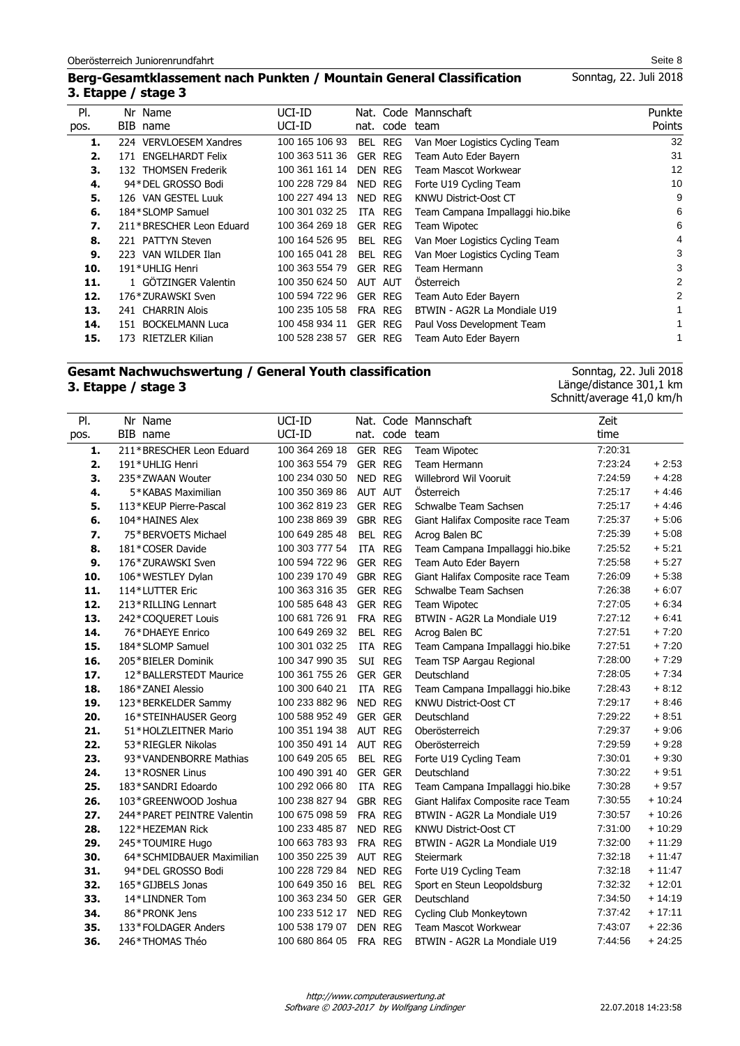## **Berg-Gesamtklassement nach Punkten / Mountain General Classification 3. Etappe / stage 3**

| PI.  | Nr Name                  | UCI-ID         |                | Nat. Code Mannschaft             | Punkte |
|------|--------------------------|----------------|----------------|----------------------------------|--------|
| pos. | BIB name                 | UCI-ID         | nat. code team |                                  | Points |
| 1.   | 224 VERVLOESEM Xandres   | 100 165 106 93 | REG<br>BEL.    | Van Moer Logistics Cycling Team  | 32     |
| 2.   | 171 ENGELHARDT Felix     | 100 363 511 36 | GER REG        | Team Auto Eder Bayern            | 31     |
| З.   | 132 THOMSEN Frederik     | 100 361 161 14 | DEN REG        | Team Mascot Workwear             | 12     |
| 4.   | 94*DEL GROSSO Bodi       | 100 228 729 84 | NED REG        | Forte U19 Cycling Team           | 10     |
| 5.   | 126 VAN GESTEL Luuk      | 100 227 494 13 | NED REG        | KNWU District-Oost CT            | 9      |
| 6.   | 184*SLOMP Samuel         | 100 301 032 25 | ITA REG        | Team Campana Impallaggi hio.bike | 6      |
| 7.   | 211*BRESCHER Leon Eduard | 100 364 269 18 | <b>GER REG</b> | Team Wipotec                     | 6      |
| 8.   | 221 PATTYN Steven        | 100 164 526 95 | BEL REG        | Van Moer Logistics Cycling Team  | 4      |
| 9.   | 223 VAN WILDER Ilan      | 100 165 041 28 | BEL REG        | Van Moer Logistics Cycling Team  | 3      |
| 10.  | 191*UHLIG Henri          | 100 363 554 79 | GER REG        | Team Hermann                     | 3      |
| 11.  | 1 GÖTZINGER Valentin     | 100 350 624 50 | AUT AUT        | Osterreich                       | 2      |
| 12.  | 176*ZURAWSKI Sven        | 100 594 722 96 | <b>GER REG</b> | Team Auto Eder Bayern            | 2      |
| 13.  | 241 CHARRIN Alois        | 100 235 105 58 | FRA REG        | BTWIN - AG2R La Mondiale U19     | 1.     |
| 14.  | 151 BOCKELMANN Luca      | 100 458 934 11 | <b>GER REG</b> | Paul Voss Development Team       |        |
| 15.  | 173 RIETZLER Kilian      | 100 528 238 57 | <b>GER REG</b> | Team Auto Eder Bayern            |        |

## **Gesamt Nachwuchswertung / General Youth classification 3. Etappe / stage 3**

Sonntag, 22. Juli 2018 Länge/distance 301,1 km Schnitt/average 41,0 km/h

| PI.  | Nr Name                    | UCI-ID         |            |                | Nat. Code Mannschaft              | Zeit    |          |
|------|----------------------------|----------------|------------|----------------|-----------------------------------|---------|----------|
| pos. | BIB name                   | UCI-ID         |            | nat. code team |                                   | time    |          |
| 1.   | 211*BRESCHER Leon Eduard   | 100 364 269 18 | GER REG    |                | Team Wipotec                      | 7:20:31 |          |
| 2.   | 191*UHLIG Henri            | 100 363 554 79 | GER REG    |                | Team Hermann                      | 7:23:24 | $+2:53$  |
| 3.   | 235*ZWAAN Wouter           | 100 234 030 50 | NED REG    |                | Willebrord Wil Vooruit            | 7:24:59 | $+4.28$  |
| 4.   | 5*KABAS Maximilian         | 100 350 369 86 |            | AUT AUT        | Österreich                        | 7:25:17 | $+4.46$  |
| 5.   | 113*KEUP Pierre-Pascal     | 100 362 819 23 |            | <b>GER REG</b> | Schwalbe Team Sachsen             | 7:25:17 | $+4.46$  |
| 6.   | 104*HAINES Alex            | 100 238 869 39 |            | GBR REG        | Giant Halifax Composite race Team | 7:25:37 | $+5.06$  |
| 7.   | 75*BERVOETS Michael        | 100 649 285 48 | <b>BEL</b> | <b>REG</b>     | Acrog Balen BC                    | 7:25:39 | $+5.08$  |
| 8.   | 181*COSER Davide           | 100 303 777 54 | ITA        | <b>REG</b>     | Team Campana Impallaggi hio.bike  | 7:25:52 | $+5.21$  |
| 9.   | 176*ZURAWSKI Sven          | 100 594 722 96 |            | <b>GER REG</b> | Team Auto Eder Bayern             | 7:25:58 | $+5.27$  |
| 10.  | 106*WESTLEY Dylan          | 100 239 170 49 |            | <b>GBR REG</b> | Giant Halifax Composite race Team | 7:26:09 | $+5.38$  |
| 11.  | 114*LUTTER Eric            | 100 363 316 35 |            | <b>GER REG</b> | Schwalbe Team Sachsen             | 7:26:38 | + 6:07   |
| 12.  | 213*RILLING Lennart        | 100 585 648 43 |            | <b>GER REG</b> | <b>Team Wipotec</b>               | 7:27:05 | $+6:34$  |
| 13.  | 242*COQUERET Louis         | 100 681 726 91 |            | FRA REG        | BTWIN - AG2R La Mondiale U19      | 7:27:12 | $+6.41$  |
| 14.  | 76*DHAEYE Enrico           | 100 649 269 32 |            | BEL REG        | Acrog Balen BC                    | 7:27:51 | $+7:20$  |
| 15.  | 184*SLOMP Samuel           | 100 301 032 25 |            | ITA REG        | Team Campana Impallaggi hio.bike  | 7:27:51 | $+7:20$  |
| 16.  | 205*BIELER Dominik         | 100 347 990 35 |            | SUI REG        | Team TSP Aargau Regional          | 7:28:00 | $+7:29$  |
| 17.  | 12*BALLERSTEDT Maurice     | 100 361 755 26 |            | <b>GER GER</b> | Deutschland                       | 7:28:05 | $+7:34$  |
| 18.  | 186*ZANEI Alessio          | 100 300 640 21 |            | ITA REG        | Team Campana Impallaggi hio.bike  | 7:28:43 | $+8:12$  |
| 19.  | 123*BERKELDER Sammy        | 100 233 882 96 | NED REG    |                | KNWU District-Oost CT             | 7:29:17 | $+8:46$  |
| 20.  | 16*STEINHAUSER Georg       | 100 588 952 49 |            | <b>GER GER</b> | Deutschland                       | 7:29:22 | $+8.51$  |
| 21.  | 51*HOLZLEITNER Mario       | 100 351 194 38 |            | AUT REG        | Oberösterreich                    | 7:29:37 | $+9:06$  |
| 22.  | 53*RIEGLER Nikolas         | 100 350 491 14 |            | AUT REG        | Oberösterreich                    | 7:29:59 | $+9.28$  |
| 23.  | 93*VANDENBORRE Mathias     | 100 649 205 65 |            | BEL REG        | Forte U19 Cycling Team            | 7:30:01 | $+9:30$  |
| 24.  | 13*ROSNER Linus            | 100 490 391 40 |            | GER GER        | Deutschland                       | 7:30:22 | $+9.51$  |
| 25.  | 183*SANDRI Edoardo         | 100 292 066 80 |            | ITA REG        | Team Campana Impallaggi hio.bike  | 7:30:28 | $+9.57$  |
| 26.  | 103*GREENWOOD Joshua       | 100 238 827 94 |            | <b>GBR REG</b> | Giant Halifax Composite race Team | 7:30:55 | $+10:24$ |
| 27.  | 244*PARET PEINTRE Valentin | 100 675 098 59 |            | FRA REG        | BTWIN - AG2R La Mondiale U19      | 7:30:57 | $+10:26$ |
| 28.  | 122*HEZEMAN Rick           | 100 233 485 87 |            | NED REG        | <b>KNWU District-Oost CT</b>      | 7:31:00 | $+10:29$ |
| 29.  | 245*TOUMIRE Hugo           | 100 663 783 93 |            | FRA REG        | BTWIN - AG2R La Mondiale U19      | 7:32:00 | $+11:29$ |
| 30.  | 64*SCHMIDBAUER Maximilian  | 100 350 225 39 |            | AUT REG        | <b>Steiermark</b>                 | 7:32:18 | $+11:47$ |
| 31.  | 94*DEL GROSSO Bodi         | 100 228 729 84 |            | NED REG        | Forte U19 Cycling Team            | 7:32:18 | $+11:47$ |
| 32.  | 165*GIJBELS Jonas          | 100 649 350 16 |            | BEL REG        | Sport en Steun Leopoldsburg       | 7:32:32 | $+12:01$ |
| 33.  | 14*LINDNER Tom             | 100 363 234 50 |            | GER GER        | Deutschland                       | 7:34:50 | $+14:19$ |
| 34.  | 86*PRONK Jens              | 100 233 512 17 |            | NED REG        | Cycling Club Monkeytown           | 7:37:42 | $+17:11$ |
| 35.  | 133*FOLDAGER Anders        | 100 538 179 07 |            | <b>DEN REG</b> | Team Mascot Workwear              | 7:43:07 | $+22:36$ |
| 36.  | 246*THOMAS Théo            | 100 680 864 05 |            | FRA REG        | BTWIN - AG2R La Mondiale U19      | 7:44:56 | $+24:25$ |